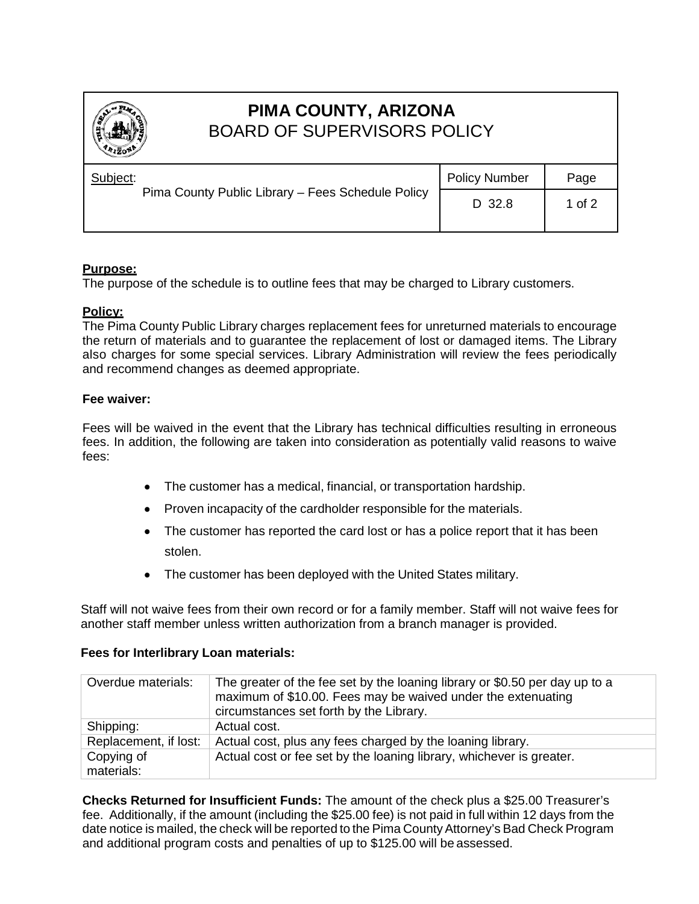

# **PIMA COUNTY, ARIZONA** BOARD OF SUPERVISORS POLICY

| Subject:<br>Pima County Public Library - Fees Schedule Policy | <b>Policy Number</b> | Page     |
|---------------------------------------------------------------|----------------------|----------|
|                                                               | D 32.8               | 1 of $2$ |
|                                                               |                      |          |

## **Purpose:**

The purpose of the schedule is to outline fees that may be charged to Library customers.

### **Policy:**

The Pima County Public Library charges replacement fees for unreturned materials to encourage the return of materials and to guarantee the replacement of lost or damaged items. The Library also charges for some special services. Library Administration will review the fees periodically and recommend changes as deemed appropriate.

### **Fee waiver:**

Fees will be waived in the event that the Library has technical difficulties resulting in erroneous fees. In addition, the following are taken into consideration as potentially valid reasons to waive fees:

- The customer has a medical, financial, or transportation hardship.
- Proven incapacity of the cardholder responsible for the materials.
- The customer has reported the card lost or has a police report that it has been stolen.
- The customer has been deployed with the United States military.

Staff will not waive fees from their own record or for a family member. Staff will not waive fees for another staff member unless written authorization from a branch manager is provided.

## **Fees for Interlibrary Loan materials:**

| Overdue materials:       | The greater of the fee set by the loaning library or \$0.50 per day up to a<br>maximum of \$10.00. Fees may be waived under the extenuating<br>circumstances set forth by the Library. |
|--------------------------|----------------------------------------------------------------------------------------------------------------------------------------------------------------------------------------|
| Shipping:                | Actual cost.                                                                                                                                                                           |
| Replacement, if lost:    | Actual cost, plus any fees charged by the loaning library.                                                                                                                             |
| Copying of<br>materials: | Actual cost or fee set by the loaning library, whichever is greater.                                                                                                                   |

**Checks Returned for Insufficient Funds:** The amount of the check plus a \$25.00 Treasurer's fee. Additionally, if the amount (including the \$25.00 fee) is not paid in full within 12 days from the date notice is mailed, the check will be reported to the Pima CountyAttorney's Bad Check Program and additional program costs and penalties of up to \$125.00 will be assessed.